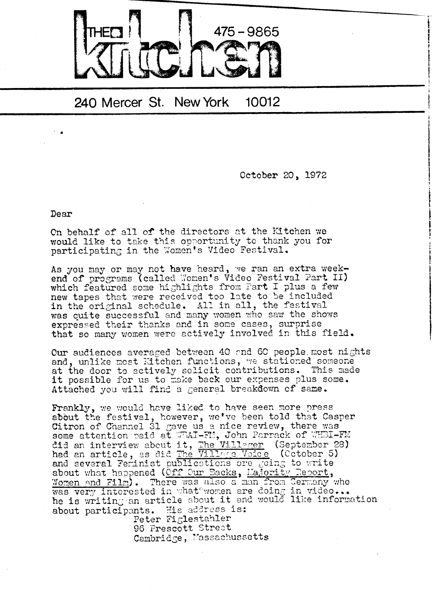

## 240 Mercer St. New York 10012

October 20, 1972

Dear

On behalf of all of the directors at the Kitchen we would like to take this opportunity to thank you for participating in the Women's Video Festival.

As you may or may not have heard, we ran an extra weekend of programs (called Women's Video Festival Part II) which featured some highlights from Fart I plus a few new tapes that were received too late to be included in the original schedule. All in all, the festival was quite successful and many women who saw the shows expressed their thanks and in some cases, surprise that so many women were actively involved in this field.

Our audiences averaged between 40 and 60 people most nights and, unlike most Eitchen functions, we stationed someone at the door to actively solicit contributions. This made it possible for us to make back our expenses plus some. Attached you will find a general breakdown of same.

Frankly, we would have liked to have seen more press about the festival, however, we've been told that Casper Citron of Channel 31 gave us a nice review, there was some attention paid at WPAI-FM, John Parrack of WHEI-FM did an interview about it, The Villager (September 28) had an article, as did The Village Voice (Cetober 5) and several Feminist publications are going to write about what happened (Off Our Backs, Majority Report, <u>Women and Film</u>). There was also a man from Germany who was very interested in what women are doing in video...<br>he is writing an article about it and would like information about participants. His address is:

> Peter Figlestahler 96 Prescott Street Cambridge, Massachussetts